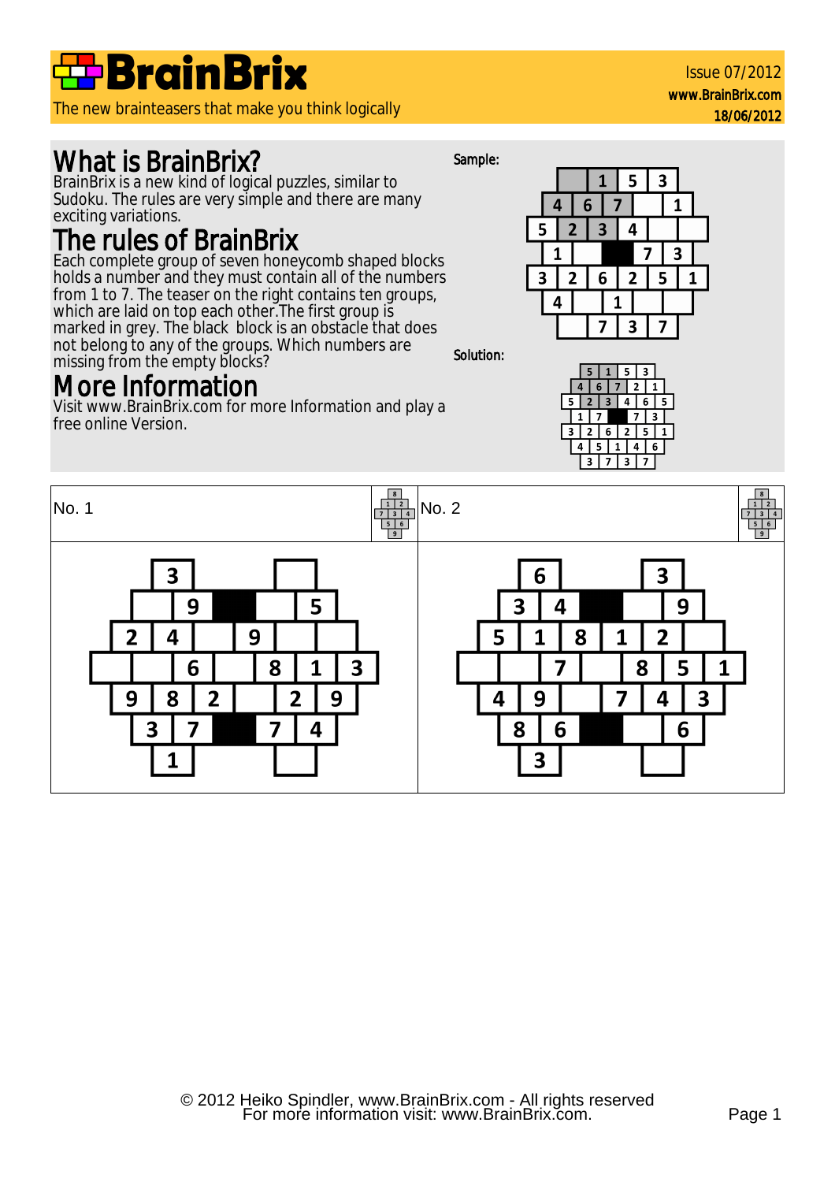

The new brainteasers that make you think logically

## What is BrainBrix?

BrainBrix is a new kind of logical puzzles, similar to Sudoku. The rules are very simple and there are many exciting variations.

### The rules of BrainBrix

Each complete group of seven honeycomb shaped blocks holds a number and they must contain all of the numbers from 1 to 7. The teaser on the right contains ten groups, which are laid on top each other. The first group is marked in grey. The black block is an obstacle that does not belong to any of the groups. Which numbers are missing from the empty blocks? Solution:

### More Information

Visit www.BrainBrix.com for more Information and play a free online Version.







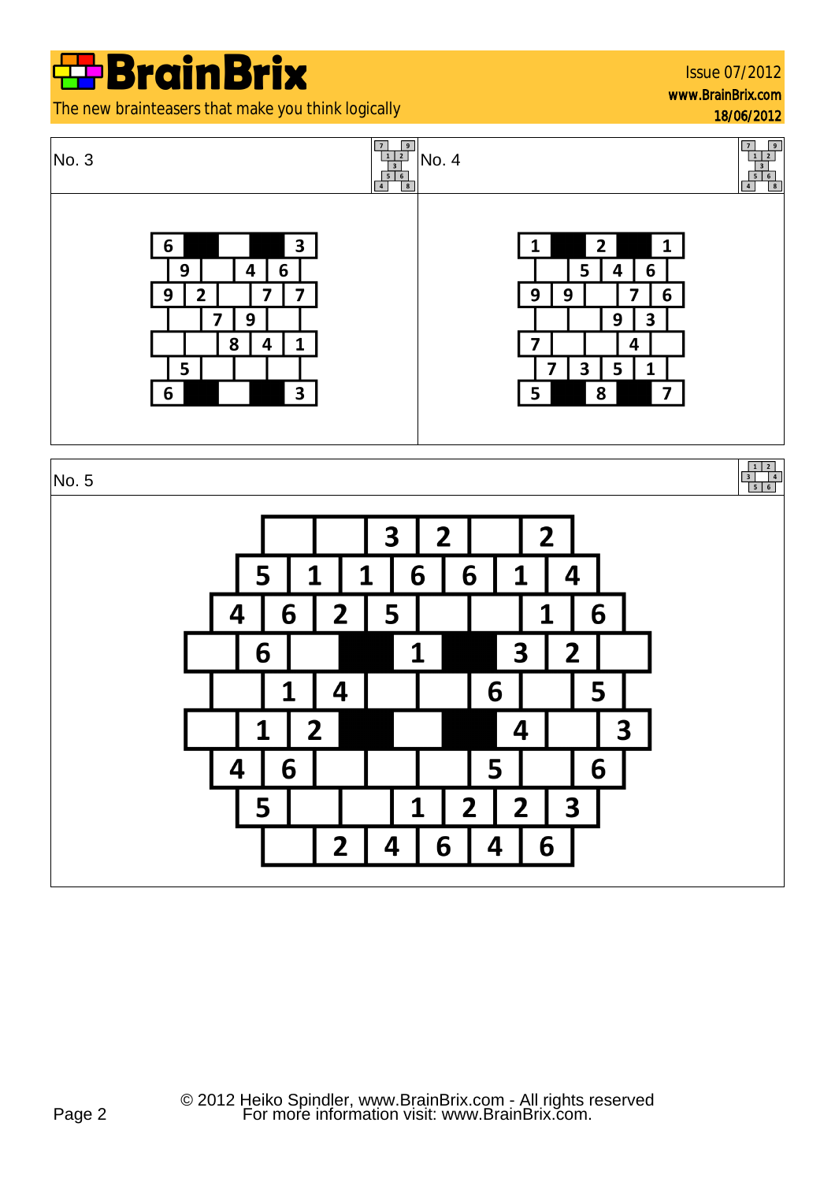Issue 07/2012 www.BrainBrix.com

18/06/2012

The new brainteasers that make you think logically

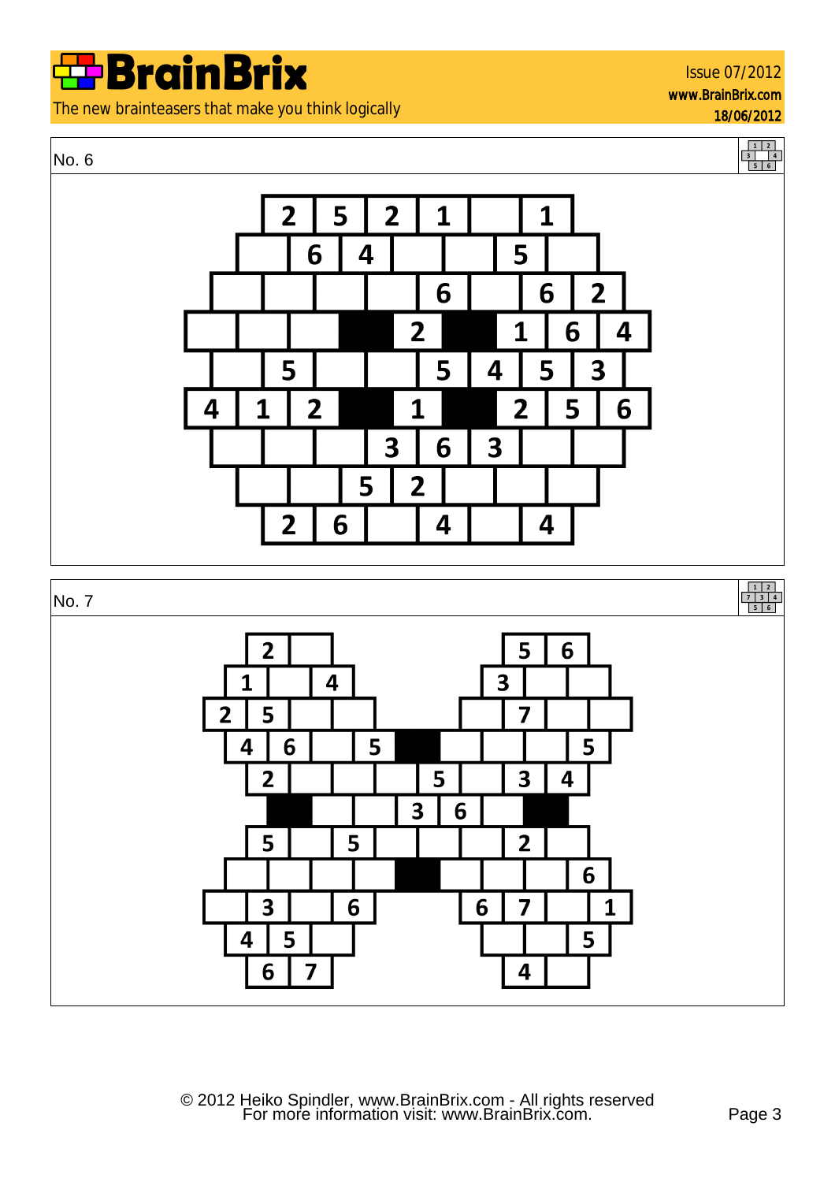The new brainteasers that make you think logically

#### No. 6





For more information visit: www.BrainBrix.com. Page 3 © 2012 Heiko Spindler, www.BrainBrix.com - All rights reserved

 $\overline{\mathbf{3}}$ 

5

6

5

 $\overline{\mathbf{3}}$ 

6

 $\overline{\mathbf{a}}$ 

5

7

6

6

 $\overline{2}$ 

7

4

6

5

1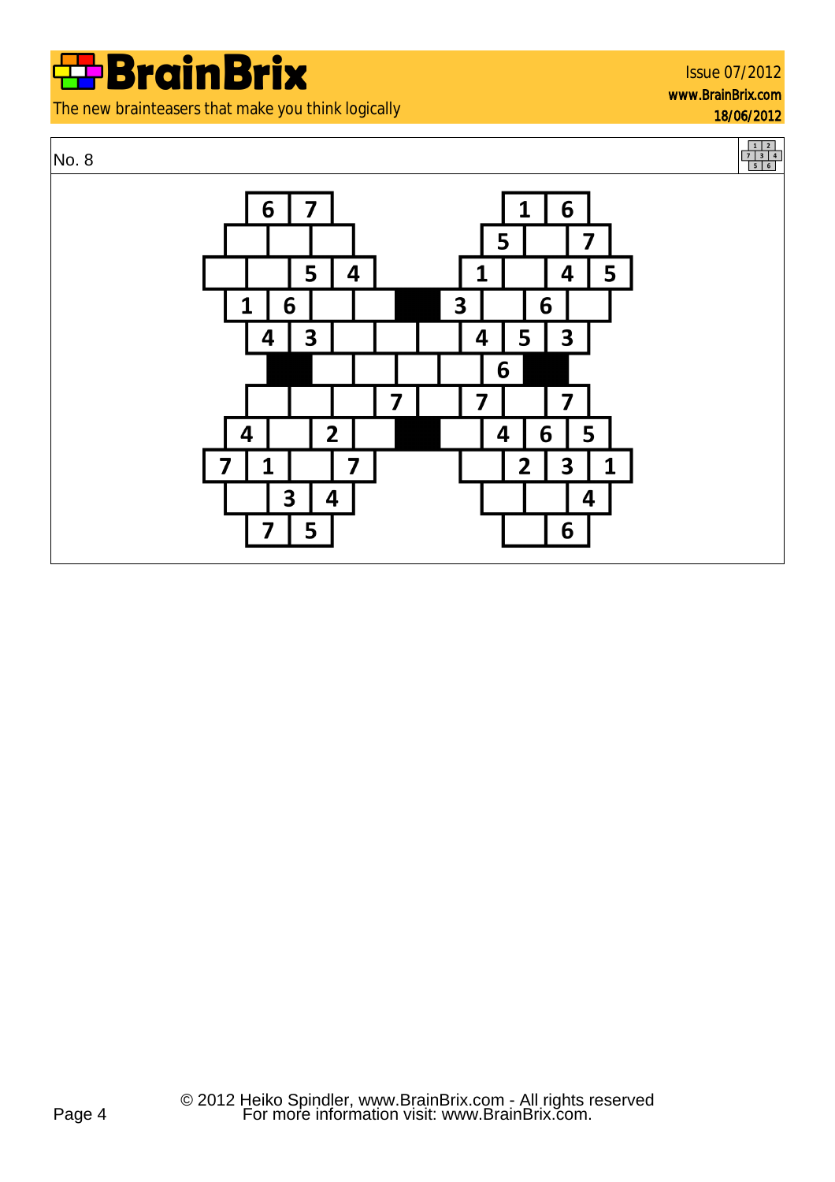The new brainteasers that make you think logically

#### Issue 07/2012 www.BrainBrix.com 18/06/2012